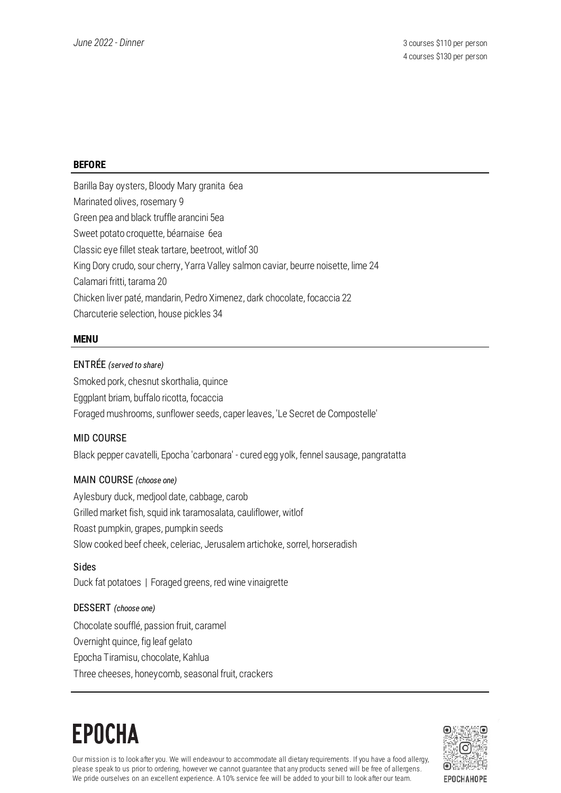#### **BEFORE**

Barilla Bay oysters, Bloody Mary granita 6ea Marinated olives, rosemary 9 Green pea and black truffle arancini 5ea Sweet potato croquette, béarnaise 6ea Classic eye fillet steak tartare, beetroot, witlof 30 King Dory crudo, sour cherry, Yarra Valley salmon caviar, beurre noisette, lime 24 Calamari fritti, tarama 20 Chicken liver paté, mandarin, Pedro Ximenez, dark chocolate, focaccia 22 Charcuterie selection, house pickles 34

#### **MENU**

#### ENTRÉE *(served to share)*

Smoked pork, chesnut skorthalia, quince Eggplant briam, buffalo ricotta, focaccia Foraged mushrooms, sunflower seeds, caper leaves, 'Le Secret de Compostelle'

## MID COURSE

Black pepper cavatelli, Epocha 'carbonara' - cured egg yolk, fennel sausage, pangratatta

#### MAIN COURSE *(choose one)*

Aylesbury duck, medjool date, cabbage, carob Grilled market fish, squid ink taramosalata, cauliflower, witlof Roast pumpkin, grapes, pumpkin seeds Slow cooked beef cheek, celeriac, Jerusalem artichoke, sorrel, horseradish

Sides Duck fat potatoes | Foraged greens, red wine vinaigrette

#### DESSERT *(choose one)*

Chocolate soufflé, passion fruit, caramel Overnight quince, fig leaf gelato Epocha Tiramisu, chocolate, Kahlua Three cheeses, honeycomb, seasonal fruit, crackers

## **EPOCHA**



Our mission is to look after you. We will endeavour to accommodate all dietary requirements. If you have a food allergy, please speak to us prior to ordering, however we cannot guarantee that any products served will be free of allergens. We pride ourselves on an excellent experience. A 10% service fee will be added to your bill to look after our team.

EPOCHAHOPE